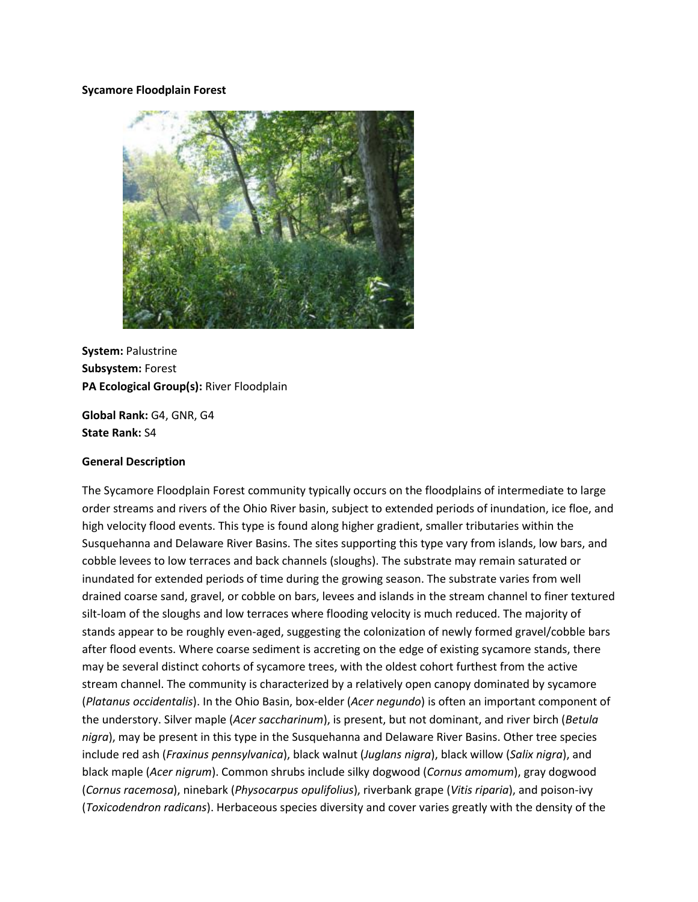#### **Sycamore Floodplain Forest**



**System:** Palustrine **Subsystem:** Forest **PA Ecological Group(s):** River Floodplain

**Global Rank:** G4, GNR, G4 **State Rank:** S4

#### **General Description**

The Sycamore Floodplain Forest community typically occurs on the floodplains of intermediate to large order streams and rivers of the Ohio River basin, subject to extended periods of inundation, ice floe, and high velocity flood events. This type is found along higher gradient, smaller tributaries within the Susquehanna and Delaware River Basins. The sites supporting this type vary from islands, low bars, and cobble levees to low terraces and back channels (sloughs). The substrate may remain saturated or inundated for extended periods of time during the growing season. The substrate varies from well drained coarse sand, gravel, or cobble on bars, levees and islands in the stream channel to finer textured silt-loam of the sloughs and low terraces where flooding velocity is much reduced. The majority of stands appear to be roughly even-aged, suggesting the colonization of newly formed gravel/cobble bars after flood events. Where coarse sediment is accreting on the edge of existing sycamore stands, there may be several distinct cohorts of sycamore trees, with the oldest cohort furthest from the active stream channel. The community is characterized by a relatively open canopy dominated by sycamore (*Platanus occidentalis*). In the Ohio Basin, box-elder (*Acer negundo*) is often an important component of the understory. Silver maple (*Acer saccharinum*), is present, but not dominant, and river birch (*Betula nigra*), may be present in this type in the Susquehanna and Delaware River Basins. Other tree species include red ash (*Fraxinus pennsylvanica*), black walnut (*Juglans nigra*), black willow (*Salix nigra*), and black maple (*Acer nigrum*). Common shrubs include silky dogwood (*Cornus amomum*), gray dogwood (*Cornus racemosa*), ninebark (*Physocarpus opulifolius*), riverbank grape (*Vitis riparia*), and poison-ivy (*Toxicodendron radicans*). Herbaceous species diversity and cover varies greatly with the density of the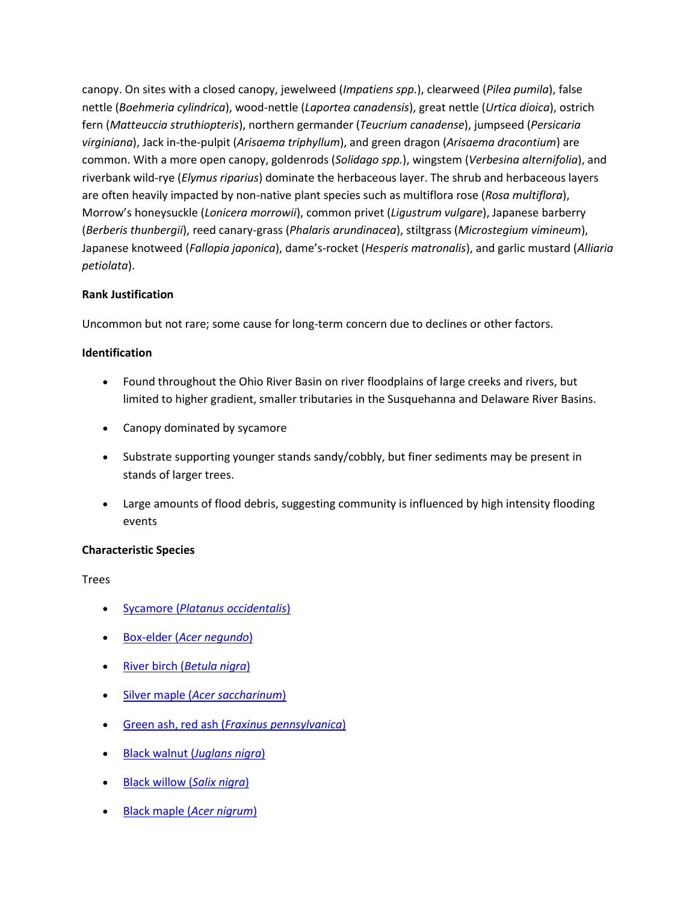canopy. On sites with a closed canopy, jewelweed (*Impatiens spp.*), clearweed (*Pilea pumila*), false nettle (*Boehmeria cylindrica*), wood-nettle (*Laportea canadensis*), great nettle (*Urtica dioica*), ostrich fern (*Matteuccia struthiopteris*), northern germander (*Teucrium canadense*), jumpseed (*Persicaria virginiana*), Jack in-the-pulpit (*Arisaema triphyllum*), and green dragon (*Arisaema dracontium*) are common. With a more open canopy, goldenrods (*Solidago spp.*), wingstem (*Verbesina alternifolia*), and riverbank wild-rye (*Elymus riparius*) dominate the herbaceous layer. The shrub and herbaceous layers are often heavily impacted by non-native plant species such as multiflora rose (*Rosa multiflora*), Morrow's honeysuckle (*Lonicera morrowii*), common privet (*Ligustrum vulgare*), Japanese barberry (*Berberis thunbergii*), reed canary-grass (*Phalaris arundinacea*), stiltgrass (*Microstegium vimineum*), Japanese knotweed (*Fallopia japonica*), dame's-rocket (*Hesperis matronalis*), and garlic mustard (*Alliaria petiolata*).

# **Rank Justification**

Uncommon but not rare; some cause for long-term concern due to declines or other factors.

## **Identification**

- Found throughout the Ohio River Basin on river floodplains of large creeks and rivers, but limited to higher gradient, smaller tributaries in the Susquehanna and Delaware River Basins.
- Canopy dominated by sycamore
- Substrate supporting younger stands sandy/cobbly, but finer sediments may be present in stands of larger trees.
- Large amounts of flood debris, suggesting community is influenced by high intensity flooding events

## **Characteristic Species**

Trees

- Sycamore (*[Platanus occidentalis](http://www.natureserve.org/explorer/servlet/NatureServe?searchName=Platanus+occidentalis)*)
- Box-elder (*[Acer negundo](http://www.natureserve.org/explorer/servlet/NatureServe?searchName=Acer+negundo)*)
- River birch (*[Betula nigra](http://www.natureserve.org/explorer/servlet/NatureServe?searchName=Betula+nigra)*)
- Silver maple (*[Acer saccharinum](http://www.natureserve.org/explorer/servlet/NatureServe?searchName=Acer+saccharinum)*)
- Green ash, red ash (*[Fraxinus pennsylvanica](http://www.natureserve.org/explorer/servlet/NatureServe?searchName=Fraxinus+pennsylvanica)*)
- [Black walnut \(](http://www.natureserve.org/explorer/servlet/NatureServe?searchName=Juglans+nigra)*Juglans nigra*)
- [Black willow \(](http://www.natureserve.org/explorer/servlet/NatureServe?searchName=Salix+nigra)*Salix nigra*)
- [Black maple \(](http://www.natureserve.org/explorer/servlet/NatureServe?searchName=Acer+nigrum)*Acer nigrum*)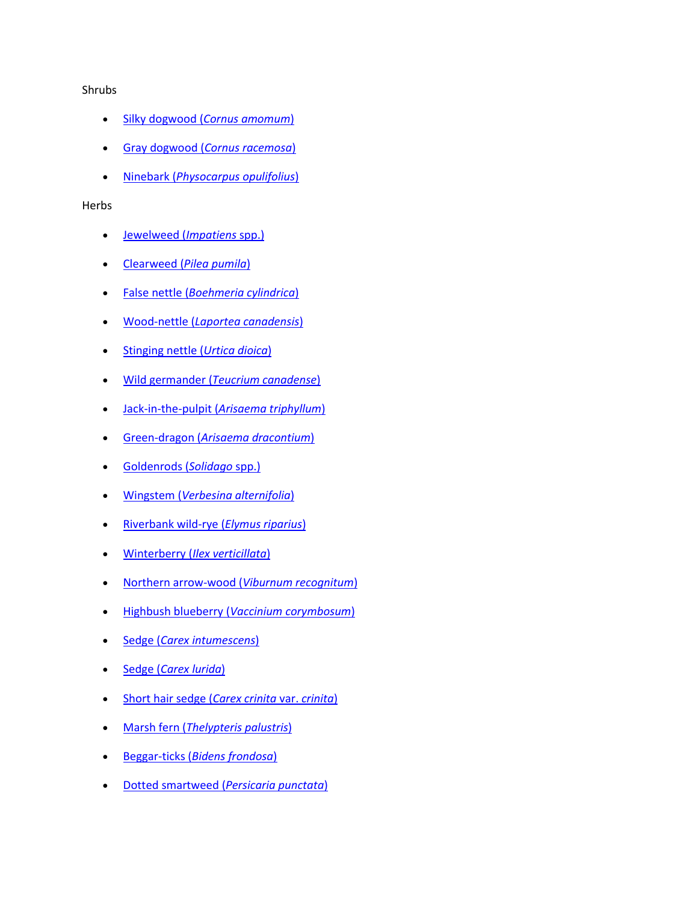#### Shrubs

- Silky dogwood (*[Cornus amomum](http://www.natureserve.org/explorer/servlet/NatureServe?searchName=Cornus+amomum+ssp.+amomum)*)
- Gray dogwood (*[Cornus racemosa](http://www.natureserve.org/explorer/servlet/NatureServe?searchName=Cornus+racemosa)*)
- Ninebark (*[Physocarpus opulifolius](http://www.natureserve.org/explorer/servlet/NatureServe?searchName=Physocarpus+opulifolius)*)

#### Herbs

- [Jewelweed \(](http://www.natureserve.org/explorer/servlet/NatureServe?searchSciOrCommonName=impatiens)*Impatiens* spp.)
- Clearweed (*[Pilea pumila](http://www.natureserve.org/explorer/servlet/NatureServe?searchName=Pilea+pumila)*)
- False nettle (*[Boehmeria cylindrica](http://www.natureserve.org/explorer/servlet/NatureServe?searchName=Boehmeria+cylindrica)*)
- Wood-nettle (*[Laportea canadensis](http://www.natureserve.org/explorer/servlet/NatureServe?searchName=Laportea+canadensis)*)
- [Stinging nettle \(](http://www.natureserve.org/explorer/servlet/NatureServe?searchName=Urtica+dioica)*Urtica dioica*)
- Wild germander (*[Teucrium canadense](http://www.natureserve.org/explorer/servlet/NatureServe?searchName=Teucrium+canadense)*)
- Jack-in-the-pulpit (*[Arisaema triphyllum](http://www.natureserve.org/explorer/servlet/NatureServe?searchName=Arisaema+triphyllum)*)
- [Green-dragon \(](http://www.natureserve.org/explorer/servlet/NatureServe?searchName=Arisaema+dracontium)*Arisaema dracontium*)
- [Goldenrods \(](http://www.natureserve.org/explorer/servlet/NatureServe?searchSciOrCommonName=solidago)*Solidago* spp.)
- Wingstem (*[Verbesina alternifolia](http://www.natureserve.org/explorer/servlet/NatureServe?searchName=Verbesina+alternifolia)*)
- [Riverbank wild-rye \(](http://www.natureserve.org/explorer/servlet/NatureServe?searchName=Elymus+riparius)*Elymus riparius*)
- Winterberry (*[Ilex verticillata](http://www.natureserve.org/explorer/servlet/NatureServe?searchName=Ilex+verticillata)*)
- [Northern arrow-wood \(](http://www.natureserve.org/explorer/servlet/NatureServe?searchName=Viburnum+recognitum)*Viburnum recognitum*)
- Highbush blueberry (*[Vaccinium corymbosum](http://www.natureserve.org/explorer/servlet/NatureServe?searchName=Vaccinium+corymbosum)*)
- Sedge (*[Carex intumescens](http://www.natureserve.org/explorer/servlet/NatureServe?searchName=Carex+intumescens)*)
- Sedge (*[Carex lurida](http://www.natureserve.org/explorer/servlet/NatureServe?searchName=Carex+lurida)*)
- [Short hair sedge \(](http://www.natureserve.org/explorer/servlet/NatureServe?searchName=Carex+crinita+var.+crinita)*Carex crinita* var. *crinita*)
- Marsh fern (*[Thelypteris palustris](http://www.natureserve.org/explorer/servlet/NatureServe?searchName=Thelypteris+palustris)*)
- Beggar-ticks (*[Bidens frondosa](http://www.natureserve.org/explorer/servlet/NatureServe?searchName=Bidens+frondosa)*)
- [Dotted smartweed \(](http://www.natureserve.org/explorer/servlet/NatureServe?searchName=Polygonum+punctatum%20%20)*Persicaria punctata*)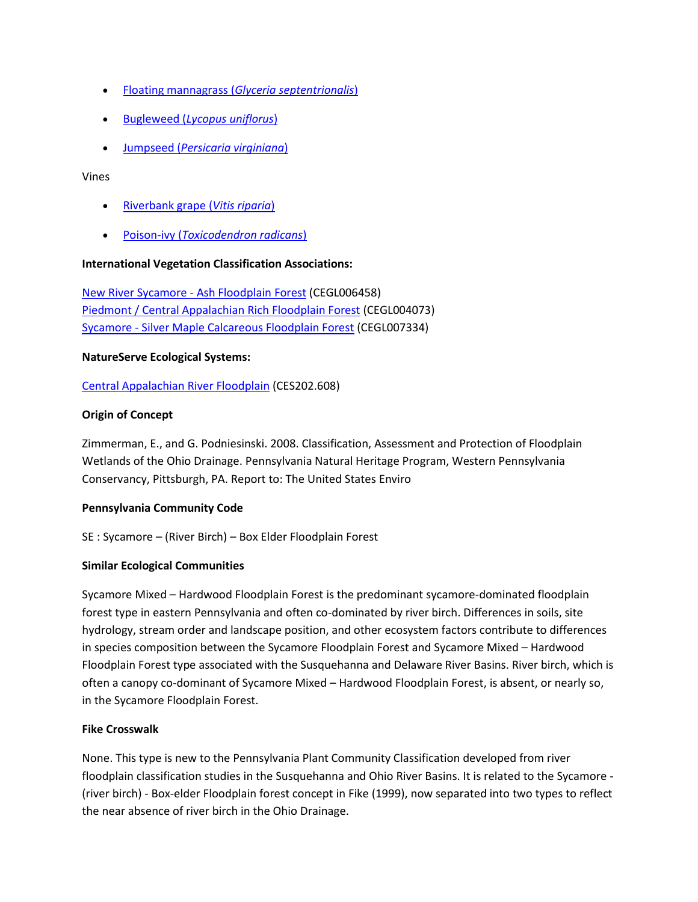- Floating mannagrass (*[Glyceria septentrionalis](http://www.natureserve.org/explorer/servlet/NatureServe?searchName=Glyceria+septentrionalis)*)
- Bugleweed (*[Lycopus uniflorus](http://www.natureserve.org/explorer/servlet/NatureServe?searchName=Lycopus+uniflorus)*)
- Jumpseed (*[Persicaria virginiana](http://www.natureserve.org/explorer/servlet/NatureServe?searchName=Polygonum+virginianum%20)*)

#### Vines

- [Riverbank grape \(](http://www.natureserve.org/explorer/servlet/NatureServe?searchName=Vitis+riparia)*Vitis riparia*)
- Poison-ivy (*[Toxicodendron radicans](http://www.natureserve.org/explorer/servlet/NatureServe?searchName=Toxicodendron+radicans)*)

#### **International Vegetation Classification Associations:**

[New River Sycamore -](http://www.natureserve.org/explorer/servlet/NatureServe?searchCommunityUid=ELEMENT_GLOBAL.2.795056) Ash Floodplain Forest (CEGL006458) [Piedmont / Central Appalachian Rich Floodplain Forest](http://www.natureserve.org/explorer/servlet/NatureServe?searchCommunityUid=ELEMENT_GLOBAL.2.758641) (CEGL004073) Sycamore - [Silver Maple Calcareous Floodplain Forest](http://www.natureserve.org/explorer/servlet/NatureServe?searchCommunityUid=ELEMENT_GLOBAL.2.684307) (CEGL007334)

#### **NatureServe Ecological Systems:**

[Central Appalachian River Floodplain](http://www.natureserve.org/explorer/servlet/NatureServe?searchSystemUid=ELEMENT_GLOBAL.2.723001) (CES202.608)

## **Origin of Concept**

Zimmerman, E., and G. Podniesinski. 2008. Classification, Assessment and Protection of Floodplain Wetlands of the Ohio Drainage. Pennsylvania Natural Heritage Program, Western Pennsylvania Conservancy, Pittsburgh, PA. Report to: The United States Enviro

## **Pennsylvania Community Code**

SE : Sycamore – (River Birch) – Box Elder Floodplain Forest

## **Similar Ecological Communities**

Sycamore Mixed – Hardwood Floodplain Forest is the predominant sycamore-dominated floodplain forest type in eastern Pennsylvania and often co-dominated by river birch. Differences in soils, site hydrology, stream order and landscape position, and other ecosystem factors contribute to differences in species composition between the Sycamore Floodplain Forest and Sycamore Mixed – Hardwood Floodplain Forest type associated with the Susquehanna and Delaware River Basins. River birch, which is often a canopy co-dominant of Sycamore Mixed – Hardwood Floodplain Forest, is absent, or nearly so, in the Sycamore Floodplain Forest.

## **Fike Crosswalk**

None. This type is new to the Pennsylvania Plant Community Classification developed from river floodplain classification studies in the Susquehanna and Ohio River Basins. It is related to the Sycamore - (river birch) - Box-elder Floodplain forest concept in Fike (1999), now separated into two types to reflect the near absence of river birch in the Ohio Drainage.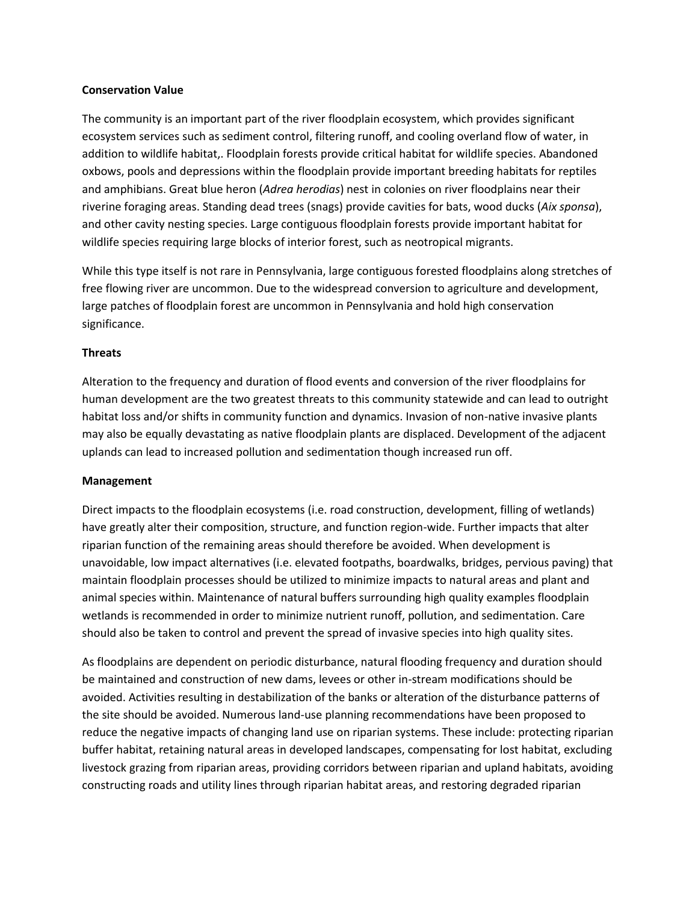#### **Conservation Value**

The community is an important part of the river floodplain ecosystem, which provides significant ecosystem services such as sediment control, filtering runoff, and cooling overland flow of water, in addition to wildlife habitat,. Floodplain forests provide critical habitat for wildlife species. Abandoned oxbows, pools and depressions within the floodplain provide important breeding habitats for reptiles and amphibians. Great blue heron (*Adrea herodias*) nest in colonies on river floodplains near their riverine foraging areas. Standing dead trees (snags) provide cavities for bats, wood ducks (*Aix sponsa*), and other cavity nesting species. Large contiguous floodplain forests provide important habitat for wildlife species requiring large blocks of interior forest, such as neotropical migrants.

While this type itself is not rare in Pennsylvania, large contiguous forested floodplains along stretches of free flowing river are uncommon. Due to the widespread conversion to agriculture and development, large patches of floodplain forest are uncommon in Pennsylvania and hold high conservation significance.

## **Threats**

Alteration to the frequency and duration of flood events and conversion of the river floodplains for human development are the two greatest threats to this community statewide and can lead to outright habitat loss and/or shifts in community function and dynamics. Invasion of non-native invasive plants may also be equally devastating as native floodplain plants are displaced. Development of the adjacent uplands can lead to increased pollution and sedimentation though increased run off.

#### **Management**

Direct impacts to the floodplain ecosystems (i.e. road construction, development, filling of wetlands) have greatly alter their composition, structure, and function region-wide. Further impacts that alter riparian function of the remaining areas should therefore be avoided. When development is unavoidable, low impact alternatives (i.e. elevated footpaths, boardwalks, bridges, pervious paving) that maintain floodplain processes should be utilized to minimize impacts to natural areas and plant and animal species within. Maintenance of natural buffers surrounding high quality examples floodplain wetlands is recommended in order to minimize nutrient runoff, pollution, and sedimentation. Care should also be taken to control and prevent the spread of invasive species into high quality sites.

As floodplains are dependent on periodic disturbance, natural flooding frequency and duration should be maintained and construction of new dams, levees or other in-stream modifications should be avoided. Activities resulting in destabilization of the banks or alteration of the disturbance patterns of the site should be avoided. Numerous land-use planning recommendations have been proposed to reduce the negative impacts of changing land use on riparian systems. These include: protecting riparian buffer habitat, retaining natural areas in developed landscapes, compensating for lost habitat, excluding livestock grazing from riparian areas, providing corridors between riparian and upland habitats, avoiding constructing roads and utility lines through riparian habitat areas, and restoring degraded riparian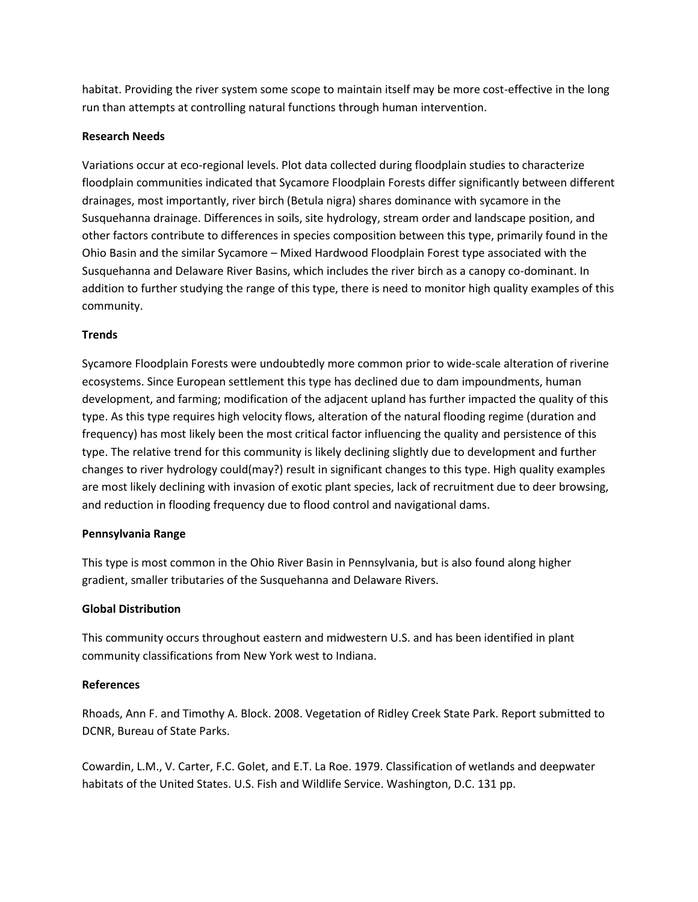habitat. Providing the river system some scope to maintain itself may be more cost-effective in the long run than attempts at controlling natural functions through human intervention.

## **Research Needs**

Variations occur at eco-regional levels. Plot data collected during floodplain studies to characterize floodplain communities indicated that Sycamore Floodplain Forests differ significantly between different drainages, most importantly, river birch (Betula nigra) shares dominance with sycamore in the Susquehanna drainage. Differences in soils, site hydrology, stream order and landscape position, and other factors contribute to differences in species composition between this type, primarily found in the Ohio Basin and the similar Sycamore – Mixed Hardwood Floodplain Forest type associated with the Susquehanna and Delaware River Basins, which includes the river birch as a canopy co-dominant. In addition to further studying the range of this type, there is need to monitor high quality examples of this community.

## **Trends**

Sycamore Floodplain Forests were undoubtedly more common prior to wide-scale alteration of riverine ecosystems. Since European settlement this type has declined due to dam impoundments, human development, and farming; modification of the adjacent upland has further impacted the quality of this type. As this type requires high velocity flows, alteration of the natural flooding regime (duration and frequency) has most likely been the most critical factor influencing the quality and persistence of this type. The relative trend for this community is likely declining slightly due to development and further changes to river hydrology could(may?) result in significant changes to this type. High quality examples are most likely declining with invasion of exotic plant species, lack of recruitment due to deer browsing, and reduction in flooding frequency due to flood control and navigational dams.

## **Pennsylvania Range**

This type is most common in the Ohio River Basin in Pennsylvania, but is also found along higher gradient, smaller tributaries of the Susquehanna and Delaware Rivers.

## **Global Distribution**

This community occurs throughout eastern and midwestern U.S. and has been identified in plant community classifications from New York west to Indiana.

## **References**

Rhoads, Ann F. and Timothy A. Block. 2008. Vegetation of Ridley Creek State Park. Report submitted to DCNR, Bureau of State Parks.

Cowardin, L.M., V. Carter, F.C. Golet, and E.T. La Roe. 1979. Classification of wetlands and deepwater habitats of the United States. U.S. Fish and Wildlife Service. Washington, D.C. 131 pp.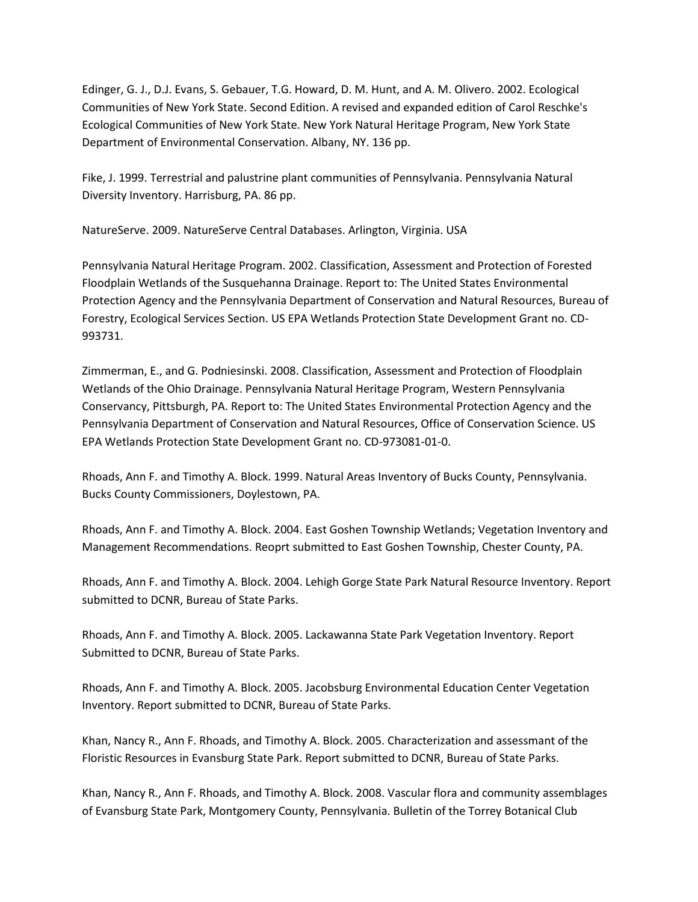Edinger, G. J., D.J. Evans, S. Gebauer, T.G. Howard, D. M. Hunt, and A. M. Olivero. 2002. Ecological Communities of New York State. Second Edition. A revised and expanded edition of Carol Reschke's Ecological Communities of New York State. New York Natural Heritage Program, New York State Department of Environmental Conservation. Albany, NY. 136 pp.

Fike, J. 1999. Terrestrial and palustrine plant communities of Pennsylvania. Pennsylvania Natural Diversity Inventory. Harrisburg, PA. 86 pp.

NatureServe. 2009. NatureServe Central Databases. Arlington, Virginia. USA

Pennsylvania Natural Heritage Program. 2002. Classification, Assessment and Protection of Forested Floodplain Wetlands of the Susquehanna Drainage. Report to: The United States Environmental Protection Agency and the Pennsylvania Department of Conservation and Natural Resources, Bureau of Forestry, Ecological Services Section. US EPA Wetlands Protection State Development Grant no. CD-993731.

Zimmerman, E., and G. Podniesinski. 2008. Classification, Assessment and Protection of Floodplain Wetlands of the Ohio Drainage. Pennsylvania Natural Heritage Program, Western Pennsylvania Conservancy, Pittsburgh, PA. Report to: The United States Environmental Protection Agency and the Pennsylvania Department of Conservation and Natural Resources, Office of Conservation Science. US EPA Wetlands Protection State Development Grant no. CD-973081-01-0.

Rhoads, Ann F. and Timothy A. Block. 1999. Natural Areas Inventory of Bucks County, Pennsylvania. Bucks County Commissioners, Doylestown, PA.

Rhoads, Ann F. and Timothy A. Block. 2004. East Goshen Township Wetlands; Vegetation Inventory and Management Recommendations. Reoprt submitted to East Goshen Township, Chester County, PA.

Rhoads, Ann F. and Timothy A. Block. 2004. Lehigh Gorge State Park Natural Resource Inventory. Report submitted to DCNR, Bureau of State Parks.

Rhoads, Ann F. and Timothy A. Block. 2005. Lackawanna State Park Vegetation Inventory. Report Submitted to DCNR, Bureau of State Parks.

Rhoads, Ann F. and Timothy A. Block. 2005. Jacobsburg Environmental Education Center Vegetation Inventory. Report submitted to DCNR, Bureau of State Parks.

Khan, Nancy R., Ann F. Rhoads, and Timothy A. Block. 2005. Characterization and assessmant of the Floristic Resources in Evansburg State Park. Report submitted to DCNR, Bureau of State Parks.

Khan, Nancy R., Ann F. Rhoads, and Timothy A. Block. 2008. Vascular flora and community assemblages of Evansburg State Park, Montgomery County, Pennsylvania. Bulletin of the Torrey Botanical Club